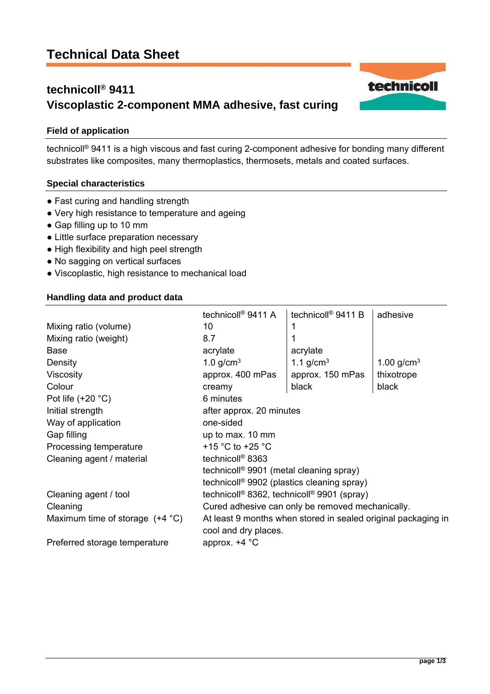# **Technical Data Sheet**

# **technicoll® 9411 Viscoplastic 2-component MMA adhesive, fast curing**

## **Field of application**

technicoll® 9411 is a high viscous and fast curing 2-component adhesive for bonding many different substrates like composites, many thermoplastics, thermosets, metals and coated surfaces.

### **Special characteristics**

- Fast curing and handling strength
- Very high resistance to temperature and ageing
- Gap filling up to 10 mm
- Little surface preparation necessary
- High flexibility and high peel strength
- No sagging on vertical surfaces
- Viscoplastic, high resistance to mechanical load

### **Handling data and product data**

|                                          | technicoll <sup>®</sup> 9411 A                                     | technicoll <sup>®</sup> 9411 B | adhesive        |
|------------------------------------------|--------------------------------------------------------------------|--------------------------------|-----------------|
| Mixing ratio (volume)                    | 10                                                                 |                                |                 |
| Mixing ratio (weight)                    | 8.7                                                                |                                |                 |
| <b>Base</b>                              | acrylate                                                           | acrylate                       |                 |
| Density                                  | 1.0 $g/cm3$                                                        | 1.1 g/cm <sup>3</sup>          | 1.00 $g/cm^{3}$ |
| <b>Viscosity</b>                         | approx. 400 mPas                                                   | approx. 150 mPas               | thixotrope      |
| Colour                                   | creamy                                                             | black                          | black           |
| Pot life $(+20 °C)$                      | 6 minutes                                                          |                                |                 |
| Initial strength                         | after approx. 20 minutes                                           |                                |                 |
| Way of application                       | one-sided                                                          |                                |                 |
| Gap filling                              | up to max. 10 mm                                                   |                                |                 |
| Processing temperature                   | +15 $^{\circ}$ C to +25 $^{\circ}$ C                               |                                |                 |
| Cleaning agent / material                | technicoll <sup>®</sup> 8363                                       |                                |                 |
|                                          | technicoll <sup>®</sup> 9901 (metal cleaning spray)                |                                |                 |
|                                          | technicoll <sup>®</sup> 9902 (plastics cleaning spray)             |                                |                 |
| Cleaning agent / tool                    | technicoll <sup>®</sup> 8362, technicoll <sup>®</sup> 9901 (spray) |                                |                 |
| Cleaning                                 | Cured adhesive can only be removed mechanically.                   |                                |                 |
| Maximum time of storage $(+4 \degree C)$ | At least 9 months when stored in sealed original packaging in      |                                |                 |
|                                          | cool and dry places.                                               |                                |                 |
| Preferred storage temperature            | approx. $+4$ °C                                                    |                                |                 |

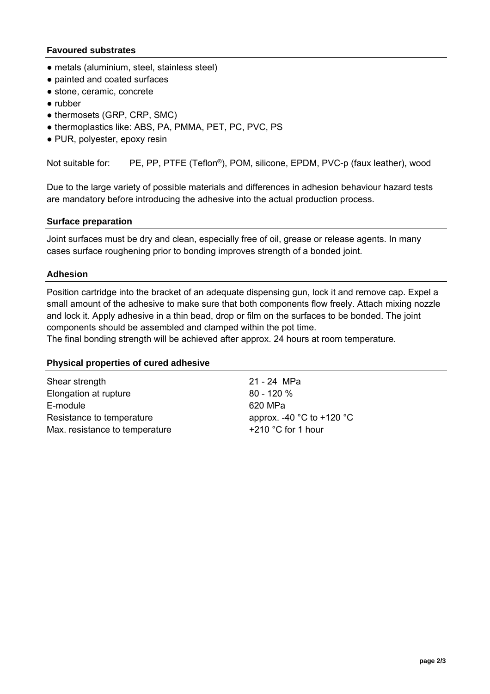### **Favoured substrates**

- metals (aluminium, steel, stainless steel)
- painted and coated surfaces
- stone, ceramic, concrete
- rubber
- thermosets (GRP, CRP, SMC)
- thermoplastics like: ABS, PA, PMMA, PET, PC, PVC, PS
- PUR, polyester, epoxy resin

Not suitable for: PE, PP, PTFE (Teflon<sup>®</sup>), POM, silicone, EPDM, PVC-p (faux leather), wood

Due to the large variety of possible materials and differences in adhesion behaviour hazard tests are mandatory before introducing the adhesive into the actual production process.

#### **Surface preparation**

Joint surfaces must be dry and clean, especially free of oil, grease or release agents. In many cases surface roughening prior to bonding improves strength of a bonded joint.

#### **Adhesion**

Position cartridge into the bracket of an adequate dispensing gun, lock it and remove cap. Expel a small amount of the adhesive to make sure that both components flow freely. Attach mixing nozzle and lock it. Apply adhesive in a thin bead, drop or film on the surfaces to be bonded. The joint components should be assembled and clamped within the pot time.

The final bonding strength will be achieved after approx. 24 hours at room temperature.

#### **Physical properties of cured adhesive**

Shear strength 21 - 24 MPa Elongation at rupture 80 - 120 % E-module 620 MPa Resistance to temperature approx. -40 °C to +120 °C Max. resistance to temperature  $+210$  °C for 1 hour